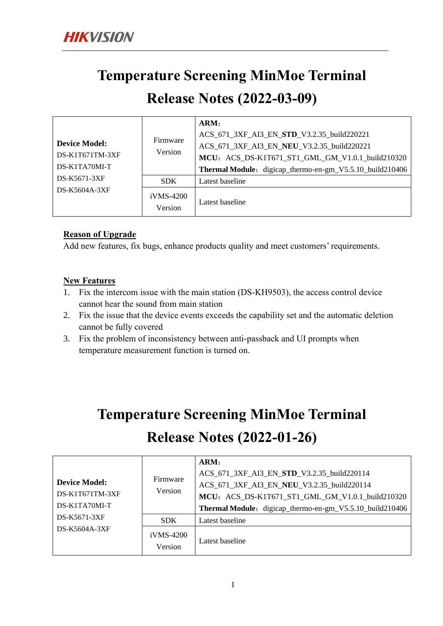### **Temperature Screening MinMoe Terminal**

### **Release Notes (2022-03-09)**

|                                           |                      | ARM:                                                     |
|-------------------------------------------|----------------------|----------------------------------------------------------|
|                                           | Firmware<br>Version  | ACS_671_3XF_AI3_EN_STD_V3.2.35_build220221               |
| <b>Device Model:</b><br>$DS-K1T671TM-3XF$ |                      | ACS_671_3XF_AI3_EN_NEU_V3.2.35_build220221               |
|                                           |                      | MCU: ACS_DS-K1T671_ST1_GML_GM_V1.0.1_build210320         |
| DS-K1TA70MI-T                             |                      | Thermal Module: digicap_thermo-en-gm_V5.5.10_build210406 |
| DS-K5671-3XF                              | <b>SDK</b>           | Latest baseline                                          |
| DS-K5604A-3XF                             | iVMS-4200<br>Version | Latest baseline                                          |

#### **Reason of Upgrade**

Add new features, fix bugs, enhance products quality and meet customers' requirements.

#### **New Features**

- 1. Fix the intercom issue with the main station (DS-KH9503), the access control device cannot hear the sound from main station
- 2. Fix the issue that the device events exceeds the capability set and the automatic deletion cannot be fully covered
- 3. Fix the problem of inconsistency between anti-passback and UI prompts when temperature measurement function is turned on.

## **Temperature Screening MinMoe Terminal Release Notes (2022-01-26)**

|                                         |                        | ARM:                                                     |
|-----------------------------------------|------------------------|----------------------------------------------------------|
|                                         |                        | ACS_671_3XF_AI3_EN_STD_V3.2.35_build220114               |
| <b>Device Model:</b><br>DS-K1T671TM-3XF | Firmware<br>Version    | ACS_671_3XF_AI3_EN_NEU_V3.2.35_build220114               |
|                                         |                        | MCU: ACS_DS-K1T671_ST1_GML_GM_V1.0.1_build210320         |
| DS-K1TA70MI-T                           |                        | Thermal Module: digicap_thermo-en-gm_V5.5.10_build210406 |
| DS-K5671-3XF                            | <b>SDK</b>             | Latest baseline                                          |
| DS-K5604A-3XF                           | $iVMS-4200$<br>Version | Latest baseline                                          |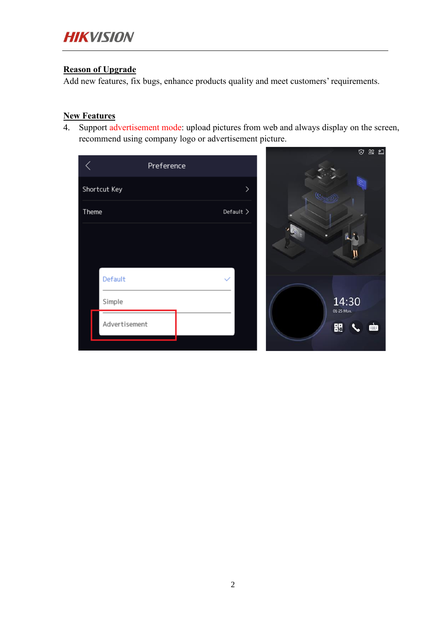#### **Reason of Upgrade**

Add new features, fix bugs, enhance products quality and meet customers' requirements.

#### **New Features**

4. Support advertisement mode: upload pictures from web and always display on the screen, recommend using company logo or advertisement picture.

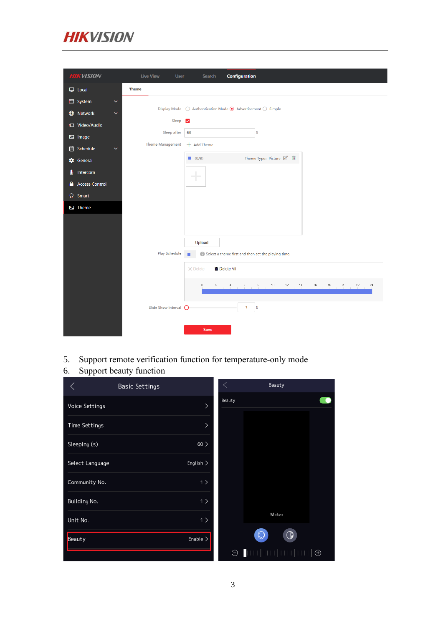

| <b>HIKVISION</b>                  | <b>Live View</b><br>User | <b>Configuration</b><br>Search                                                                            |
|-----------------------------------|--------------------------|-----------------------------------------------------------------------------------------------------------|
| $\Box$ Local                      | <b>Theme</b>             |                                                                                                           |
| System<br>$\checkmark$            |                          |                                                                                                           |
| <b>ED</b> Network<br>$\checkmark$ | Display Mode             | $\bigcirc$ Authentication Mode $\bigcirc$ Advertisement $\bigcirc$ Simple                                 |
| t <sup>1</sup> Video/Audio        | Sleep                    | ☑                                                                                                         |
| E Image                           | Sleep after              | S<br>60                                                                                                   |
| 值<br>Schedule<br>$\checkmark$     | Theme Management         | + Add Theme                                                                                               |
| <b>C</b> General                  |                          | Theme Type: Picture ② m<br>(0/8)                                                                          |
| Intercom<br>₹                     |                          | ـ                                                                                                         |
| <b>Access Control</b><br>Α        |                          | ٠                                                                                                         |
| Q.<br>Smart                       |                          |                                                                                                           |
| <b>E</b> Theme                    |                          |                                                                                                           |
|                                   |                          |                                                                                                           |
|                                   |                          |                                                                                                           |
|                                   |                          | Upload                                                                                                    |
|                                   | Play Schedule            | (i) Select a theme first and then set the playing time.                                                   |
|                                   |                          | <b>面</b> Delete All<br>X Delete                                                                           |
|                                   |                          | $\,0\,$<br>$\,$ $\,$<br>6<br>$\rm ^8$<br>$10$<br>$12\,$<br>14<br>16<br>18<br>20<br>22<br>$\ddot{4}$<br>24 |
|                                   | Slide Show Interval O    | $\mathbf{1}$<br>S                                                                                         |
|                                   |                          | Save                                                                                                      |

5. Support remote verification function for temperature-only mode

### 6. Support beauty function

|                 | <b>Basic Settings</b> |               | ✓      | Beauty            |  |
|-----------------|-----------------------|---------------|--------|-------------------|--|
| Voice Settings  |                       | $\mathcal{P}$ | Beauty |                   |  |
| Time Settings   |                       | ゝ             |        |                   |  |
| Sleeping (s)    |                       | $60$ $>$      |        |                   |  |
| Select Language |                       | English       |        |                   |  |
| Community No.   |                       | 1             |        |                   |  |
| Building No.    |                       | 1             |        |                   |  |
| Unit No.        |                       | 1             |        | Whiten            |  |
| Beauty          |                       | Enable        |        | $\mathbb{O}$      |  |
|                 |                       |               |        | $\textcircled{1}$ |  |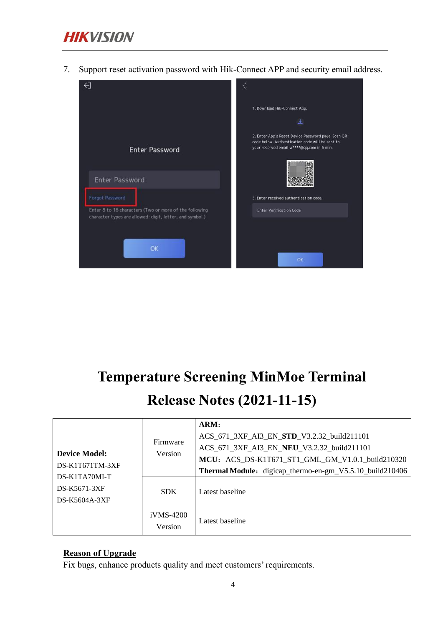

7. Support reset activation password with Hik-Connect APP and security email address.



## **Temperature Screening MinMoe Terminal Release Notes (2021-11-15)**

|                                                | Firmware               | ARM:<br>ACS_671_3XF_AI3_EN_STD_V3.2.32_build211101<br>ACS_671_3XF_AI3_EN_NEU_V3.2.32_build211101             |
|------------------------------------------------|------------------------|--------------------------------------------------------------------------------------------------------------|
| <b>Device Model:</b><br>$DS-K1T671TM-3XF$      | Version                | MCU: ACS_DS-K1T671_ST1_GML_GM_V1.0.1_build210320<br>Thermal Module: digicap_thermo-en-gm_V5.5.10_build210406 |
| DS-K1TA70MI-T<br>DS-K5671-3XF<br>DS-K5604A-3XF | SDK.                   | Latest baseline                                                                                              |
|                                                | $iVMS-4200$<br>Version | Latest baseline                                                                                              |

#### **Reason of Upgrade**

Fix bugs, enhance products quality and meet customers' requirements.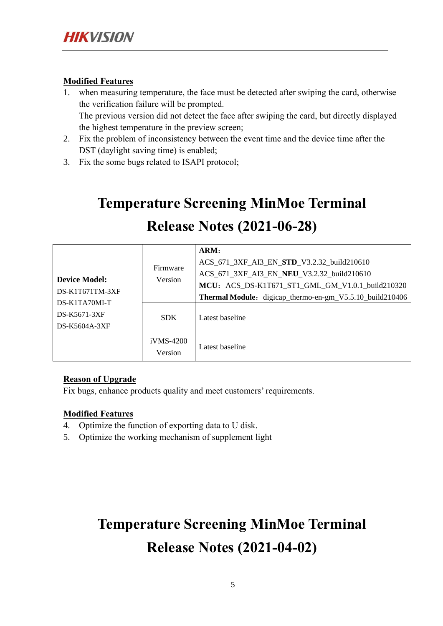#### **Modified Features**

- 1. when measuring temperature, the face must be detected after swiping the card, otherwise the verification failure will be prompted. The previous version did not detect the face after swiping the card, but directly displayed the highest temperature in the preview screen;
- 2. Fix the problem of inconsistency between the event time and the device time after the DST (daylight saving time) is enabled;
- 3. Fix the some bugs related to ISAPI protocol;

# **Temperature Screening MinMoe Terminal Release Notes (2021-06-28)**

| <b>Device Model:</b><br>$DS-K1T671TM-3XF$      | Firmware<br>Version    | ARM:<br>ACS_671_3XF_AI3_EN_STD_V3.2.32_build210610<br>ACS_671_3XF_AI3_EN_NEU_V3.2.32_build210610<br>MCU: ACS_DS-K1T671_ST1_GML_GM_V1.0.1_build210320<br>Thermal Module: digicap_thermo-en-gm_V5.5.10_build210406 |
|------------------------------------------------|------------------------|------------------------------------------------------------------------------------------------------------------------------------------------------------------------------------------------------------------|
| DS-K1TA70MI-T<br>DS-K5671-3XF<br>DS-K5604A-3XF | <b>SDK</b>             | Latest baseline                                                                                                                                                                                                  |
|                                                | $iVMS-4200$<br>Version | Latest baseline                                                                                                                                                                                                  |

#### **Reason of Upgrade**

Fix bugs, enhance products quality and meet customers' requirements.

#### **Modified Features**

- 4. Optimize the function of exporting data to U disk.
- 5. Optimize the working mechanism of supplement light

### **Temperature Screening MinMoe Terminal Release Notes (2021-04-02)**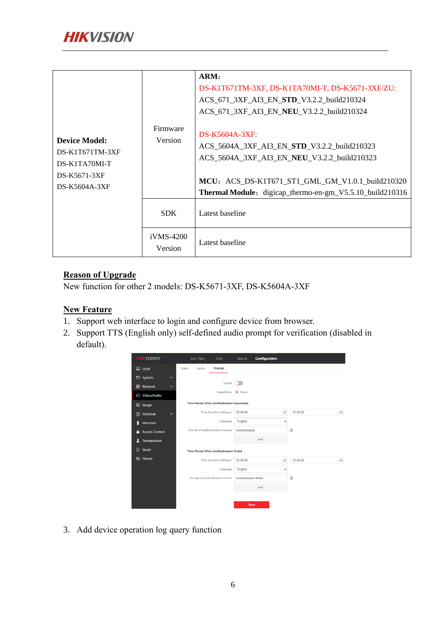|                                                |                      | ARM:<br>DS-K1T671TM-3XF, DS-K1TA70MI-T, DS-K5671-3XF/ZU:                                                                                                                                                 |
|------------------------------------------------|----------------------|----------------------------------------------------------------------------------------------------------------------------------------------------------------------------------------------------------|
| <b>Device Model:</b><br>$DS-K1T671TM-3XF$      | Firmware<br>Version  | ACS_671_3XF_AI3_EN_STD_V3.2.2_build210324<br>ACS_671_3XF_AI3_EN_NEU_V3.2.2_build210324<br>$DS-K5604A-3XF:$<br>ACS_5604A_3XF_AI3_EN_STD_V3.2.2_build210323<br>ACS_5604A_3XF_AI3_EN_NEU_V3.2.2_build210323 |
| DS-K1TA70MI-T<br>DS-K5671-3XF<br>DS-K5604A-3XF |                      | MCU: ACS_DS-K1T671_ST1_GML_GM_V1.0.1_build210320<br>Thermal Module: digicap_thermo-en-gm_V5.5.10_build210316                                                                                             |
|                                                | <b>SDK</b>           | Latest baseline                                                                                                                                                                                          |
|                                                | iVMS-4200<br>Version | Latest baseline                                                                                                                                                                                          |

#### **Reason of Upgrade**

New function for other 2 models: DS-K5671-3XF, DS-K5604A-3XF

#### **New Feature**

- 1. Support web interface to login and configure device from browser.
- 2. Support TTS (English only) self-defined audio prompt for verification (disabled in default).



3. Add device operation log query function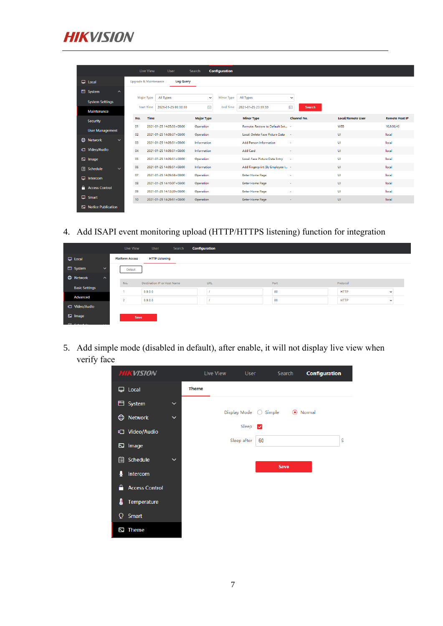

|                                             |    | Live View         |      | User                                      | Search            |              | <b>Configuration</b> |                                  |             |                    |                          |                       |
|---------------------------------------------|----|-------------------|------|-------------------------------------------|-------------------|--------------|----------------------|----------------------------------|-------------|--------------------|--------------------------|-----------------------|
| $\Box$ Local                                |    |                   |      | Upgrade & Maintenance<br><b>Log Query</b> |                   |              |                      |                                  |             |                    |                          |                       |
| <b>El</b> System<br>$\widehat{\phantom{a}}$ |    |                   |      |                                           |                   |              |                      |                                  |             |                    |                          |                       |
| <b>System Settings</b>                      |    | Major Type        |      | All Types                                 |                   | $\checkmark$ | Minor Type           | <b>All Types</b>                 | $\check{ }$ |                    |                          |                       |
| Maintenance                                 |    | <b>Start Time</b> |      | 2021-01-25 00:00:00                       |                   | Hill         | <b>End Time</b>      | 2021-01-25 23:59:59              | 冊           | <b>Search</b>      |                          |                       |
|                                             |    | No.               | Time |                                           | <b>Major Type</b> |              |                      | <b>Minor Type</b>                |             | <b>Channel No.</b> | <b>Local/Remote User</b> | <b>Remote Host IP</b> |
| <b>Security</b>                             | 01 |                   |      | 2021-01-25 14:05:53+08:00                 | Operation         |              |                      | Remote: Restore to Default Set - |             |                    | WEB                      | 10.9.96.43            |
| <b>User Management</b>                      | 02 |                   |      | 2021-01-25 14:09:37+08:00                 | Operation         |              |                      | Local: Delete Face Picture Data  | - 1         |                    | <b>UI</b>                | local                 |
| $\oplus$<br><b>Network</b><br>$\checkmark$  |    |                   |      |                                           |                   |              |                      |                                  |             |                    |                          |                       |
|                                             | 03 |                   |      | 2021-01-25 14:09:51+08:00                 | Information       |              |                      | Add Person Information           | ٠           |                    | UI                       | local                 |
| <b>¤</b> Video/Audio                        | 04 |                   |      | 2021-01-25 14:09:51+08:00                 | Information       |              |                      | Add Card                         | ٠           |                    | <b>UI</b>                | local                 |
| <b>EJ</b> Image                             | 05 |                   |      | 2021-01-25 14:09:51+08:00                 | Operation         |              |                      | Local: Face Picture Data Entry   | <b>A</b>    |                    | UI                       | local                 |
| <b>自</b> Schedule<br>$\checkmark$           | 06 |                   |      | 2021-01-25 14:09:51+08:00                 | Information       |              |                      | Add Fingerprint (By Employee I - |             |                    | <b>UI</b>                | local                 |
| $\Box$ Intercom                             | 07 |                   |      | 2021-01-25 14:09:58+08:00                 | Operation         |              |                      | <b>Enter Home Page</b>           | ٠           |                    | UI                       | local                 |
|                                             | 08 |                   |      | 2021-01-25 14:10:07+08:00                 | Operation         |              |                      | <b>Enter Home Page</b>           | ٠           |                    | <b>UI</b>                | local                 |
| <b>A</b> Access Control                     | 09 |                   |      | 2021-01-25 14:12:20+08:00                 | Operation         |              |                      | <b>Enter Home Page</b>           | ٠           |                    | UI                       | local                 |
| $\Box$ Smart                                | 10 |                   |      | 2021-01-25 14:29:51+08:00                 | Operation         |              |                      | <b>Enter Home Page</b>           | $\sim$      |                    | UI                       | local                 |
| Notice Publication                          |    |                   |      |                                           |                   |              |                      |                                  |             |                    |                          |                       |

4. Add ISAPI event monitoring upload (HTTP/HTTPS listening) function for integration

|                                         | Live View              | User                        | Search | <b>Configuration</b> |      |             |              |
|-----------------------------------------|------------------------|-----------------------------|--------|----------------------|------|-------------|--------------|
| $\Box$ Local                            | <b>Platform Access</b> | <b>HTTP Listening</b>       |        |                      |      |             |              |
| System<br>$\checkmark$                  | <b>Default</b>         |                             |        |                      |      |             |              |
| <b>D</b> Network<br>$\hat{\phantom{a}}$ |                        |                             |        |                      |      |             |              |
| <b>Basic Settings</b>                   | No.                    | Destination IP or Host Name |        | URL                  | Port | Protocol    |              |
| Advanced                                |                        | 0.0.0.0                     |        |                      | 80   | <b>HTTP</b> | $\checkmark$ |
|                                         | $\overline{2}$         | 0.0.0.0                     |        |                      | 80   | <b>HTTP</b> | $\checkmark$ |
| <b>¤</b> Video/Audio                    |                        |                             |        |                      |      |             |              |
| $\boxdot$ Image                         | Save                   |                             |        |                      |      |             |              |

5. Add simple mode (disabled in default), after enable, it will not display live view when verify face

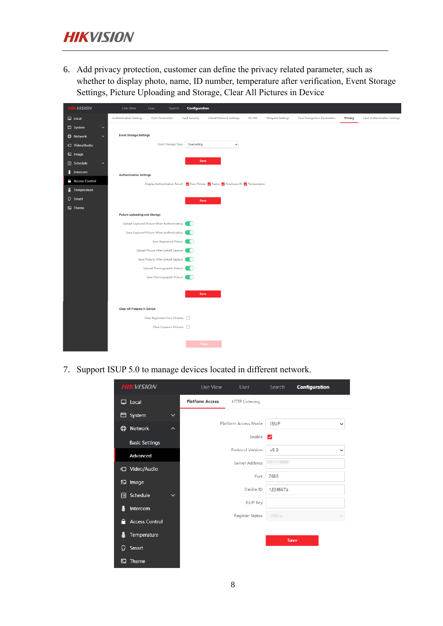6. Add privacy protection, customer can define the privacy related parameter, such as whether to display photo, name, ID number, temperature after verification, Event Storage Settings, Picture Uploading and Storage, Clear All Pictures in Device

| <b>HIKVISION</b>                  | <b>Live View</b><br><b>Configuration</b><br>User<br>Search                                                                                                                                                                                      |
|-----------------------------------|-------------------------------------------------------------------------------------------------------------------------------------------------------------------------------------------------------------------------------------------------|
| $\Box$ Local                      | <b>Authentication Settings</b><br><b>Linked Network Settings</b><br><b>RS-485</b><br><b>Card Authentication Settings</b><br>Door Parameters<br><b>Card Security</b><br><b>Wiegand Settings</b><br><b>Face Recognition Parameters</b><br>Privacy |
| $\Box$ System<br>$\checkmark$     |                                                                                                                                                                                                                                                 |
| <b>C</b> Network<br>$\checkmark$  | <b>Event Storage Settings</b>                                                                                                                                                                                                                   |
| t□ Video/Audio                    | <b>Event Storage Type</b><br>Overwriting<br>$\checkmark$                                                                                                                                                                                        |
| $\boxdot$ Image                   |                                                                                                                                                                                                                                                 |
| <b>图 Schedule</b><br>$\checkmark$ | Save                                                                                                                                                                                                                                            |
| ₹<br>Intercom                     | <b>Authentication Settings</b>                                                                                                                                                                                                                  |
| <b>Access Control</b>             | Display Authentication Result V Face Picture V Name V Employee ID V Temperature                                                                                                                                                                 |
| Temperature<br>₿                  |                                                                                                                                                                                                                                                 |
| <b>Q</b> Smart                    | Save                                                                                                                                                                                                                                            |
| $\boxdot$ Theme                   |                                                                                                                                                                                                                                                 |
|                                   | <b>Picture Uploading and Storage</b>                                                                                                                                                                                                            |
|                                   | Upload Captured Picture When Authenticating<br>œ                                                                                                                                                                                                |
|                                   | Save Captured Picture When Authenticating                                                                                                                                                                                                       |
|                                   | Save Registered Picture<br>. .                                                                                                                                                                                                                  |
|                                   | Upload Picture After Linked Capture                                                                                                                                                                                                             |
|                                   | Save Pictures After Linked Capture                                                                                                                                                                                                              |
|                                   | Upload Thermographic Picture<br>. .                                                                                                                                                                                                             |
|                                   | Save Thermographic Picture                                                                                                                                                                                                                      |
|                                   | Save                                                                                                                                                                                                                                            |
|                                   |                                                                                                                                                                                                                                                 |
|                                   | <b>Clear All Pictures in Device</b>                                                                                                                                                                                                             |
|                                   | Clear Registered Face Pictures                                                                                                                                                                                                                  |
|                                   | Clear Captured Pictures                                                                                                                                                                                                                         |
|                                   |                                                                                                                                                                                                                                                 |
|                                   | Clear                                                                                                                                                                                                                                           |

7. Support ISUP 5.0 to manage devices located in different network.

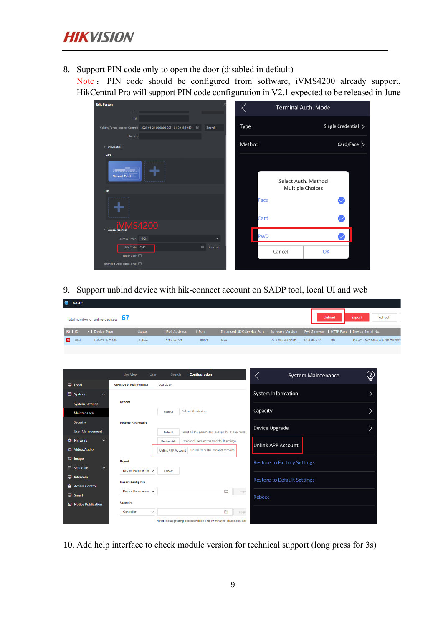8. Support PIN code only to open the door (disabled in default)

Note : PIN code should be configured from software, iVMS4200 already support, HikCentral Pro will support PIN code configuration in V2.1 expected to be released in June

| <b>Edit Person</b>                                                                              | <b>Terminal Auth. Mode</b>                |
|-------------------------------------------------------------------------------------------------|-------------------------------------------|
| Tel.<br>Validity Period (Access Control) 2021-01-21 00:00:00-2031-01-20 23:59:59<br>鬧<br>Extend | Single Credential $\left.\right>$<br>Type |
| Remark<br>$\sim$ Credential                                                                     | Card/Face ><br>Method                     |
| Card<br>Normal Card<br>FP.                                                                      | Select Auth. Method<br>Multiple Choices   |
|                                                                                                 | Face<br>Card                              |
| <b>MS4200</b><br><b>Access Control</b><br>٠<br>Access Group 642                                 | PWD                                       |
| PIN Code 6543<br>© Generate<br>Super User [                                                     | Cancel<br>OK                              |
| Extended Door Open Time                                                                         |                                           |

9. Support unbind device with hik-connect account on SADP tool, local UI and web

|   | <b>SADP</b>    |                                                  |        |              |                   |     |                                                                                             |     |                          |
|---|----------------|--------------------------------------------------|--------|--------------|-------------------|-----|---------------------------------------------------------------------------------------------|-----|--------------------------|
|   |                | Total number of online devices: $\vert 67 \vert$ |        | Unbind       | Refresh<br>Export |     |                                                                                             |     |                          |
|   | $\blacksquare$ | $\blacktriangle$   Device Type                   | Status | IPv4 Address | Port              |     | Enhanced SDK Service Port   Software Version   IPv4 Gateway   HTTP Port   Device Serial No. |     |                          |
| ☑ | 064            | DS-K1T671MF                                      | Active | 10.9.96.50   | 8000              | N/A | V3.2.0build 2101 10.9.96.254                                                                | -80 | DS-K1T671MF20210107V0302 |

|                                   | Live View<br><b>Configuration</b><br>User<br>Search                                            | $\overline{?}$<br><b>System Maintenance</b> |
|-----------------------------------|------------------------------------------------------------------------------------------------|---------------------------------------------|
| $\Box$ Local                      | <b>Upgrade &amp; Maintenance</b><br>Log Query                                                  |                                             |
| System<br>$\sim$                  | <b>System Information</b>                                                                      |                                             |
| <b>System Settings</b>            | Reboot                                                                                         |                                             |
| Maintenance                       | Capacity<br>Reboot the device.<br>Reboot                                                       |                                             |
| <b>Security</b>                   | <b>Restore Parameters</b>                                                                      |                                             |
| <b>User Management</b>            | Device Upgrade<br>Reset all the parameters, except the IP parameter<br><b>Default</b>          |                                             |
| <b>CD</b> Network<br>$\checkmark$ | Restore all parameters to default settings.<br><b>Restore All</b><br><b>Unlink APP Account</b> |                                             |
| <b>¤</b> Video/Audio              | Unlink from Hik-connect account.<br><b>Unlink APP Account</b>                                  |                                             |
| $\boxdot$ Image                   | <b>Export</b>                                                                                  | <b>Restore to Factory Settings</b>          |
| <b>自 Schedule</b><br>$\checkmark$ | Device Parameters v<br>Export                                                                  |                                             |
| $\Box$ Intercom                   |                                                                                                | <b>Restore to Default Settings</b>          |
| Α<br><b>Access Control</b>        | <b>Import Config File</b>                                                                      |                                             |
| $\Box$ Smart                      | <b>n</b><br>Device Parameters v<br>Impo<br>Reboot                                              |                                             |
| Notice Publication                | <b>Upgrade</b>                                                                                 |                                             |
|                                   | n<br>Controller<br>$\checkmark$<br>Upgra                                                       |                                             |
|                                   | Note: The upgrading process will be 1 to 10 minutes, please don't di-                          |                                             |

10. Add help interface to check module version for technical support (long press for 3s)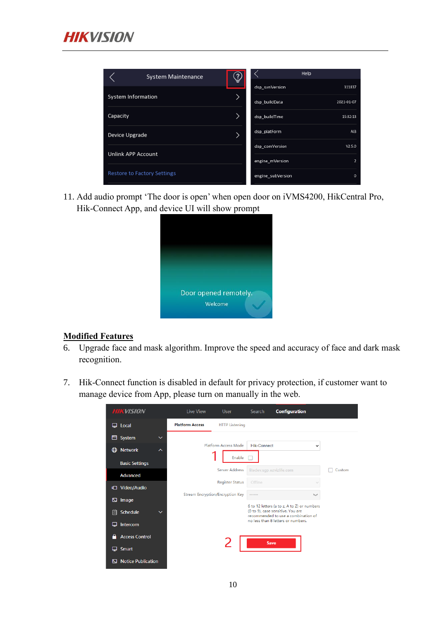

| <b>System Maintenance</b>          |  |                   | Help           |
|------------------------------------|--|-------------------|----------------|
|                                    |  | dsp_svnVersion    | 311837         |
| <b>System Information</b>          |  | dsp buildData     | 2021-01-07     |
| Capacity                           |  | dsp_buildTime     | 15:32:13       |
| Device Upgrade                     |  | dsp_platForm      | A13            |
|                                    |  | dsp_comVersion    | V2.5.0         |
| <b>Unlink APP Account</b>          |  | engine_mVersion   | $\overline{2}$ |
| <b>Restore to Factory Settings</b> |  | engine_subVersion | $\circ$        |

11. Add audio prompt 'The door is open' when open door on iVMS4200, HikCentral Pro, Hik-Connect App, and device UI will show prompt



#### **Modified Features**

- 6. Upgrade face and mask algorithm. Improve the speed and accuracy of face and dark mask recognition.
- 7. Hik-Connect function is disabled in default for privacy protection, if customer want to manage device from App, please turn on manually in the web.

| <b>HIKVISION</b>               | Live View                               | <b>User</b>            | <b>Search</b>             | <b>Configuration</b>                                                                                                    |        |
|--------------------------------|-----------------------------------------|------------------------|---------------------------|-------------------------------------------------------------------------------------------------------------------------|--------|
| Local<br>▭                     | <b>Platform Access</b>                  | <b>HTTP Listening</b>  |                           |                                                                                                                         |        |
| System<br>⊟<br>$\checkmark$    |                                         |                        |                           |                                                                                                                         |        |
| ₾<br><b>Network</b><br>∼       |                                         | Platform Access Mode   | <b>Hik-Connect</b>        | $\checkmark$                                                                                                            |        |
| <b>Basic Settings</b>          |                                         | Enable                 |                           |                                                                                                                         |        |
| <b>Advanced</b>                |                                         | <b>Server Address</b>  | litedev.sgp.ezvizlife.com |                                                                                                                         | Custom |
| □ Video/Audio                  |                                         | <b>Register Status</b> | Offline                   |                                                                                                                         |        |
| Image<br>▧                     | <b>Stream Encryption/Encryption Key</b> |                        | ------                    | $\rightarrow$                                                                                                           |        |
| Schedule<br>眉<br>$\checkmark$  |                                         |                        |                           | 6 to 12 letters (a to z, A to Z) or numbers<br>(0 to 9), case sensitive. You are<br>recommended to use a combination of |        |
| Intercom                       |                                         |                        |                           | no less than 8 letters or numbers.                                                                                      |        |
| <b>Access Control</b>          |                                         |                        | Save                      |                                                                                                                         |        |
| <b>Smart</b>                   |                                         |                        |                           |                                                                                                                         |        |
| <b>Notice Publication</b><br>⊠ |                                         |                        |                           |                                                                                                                         |        |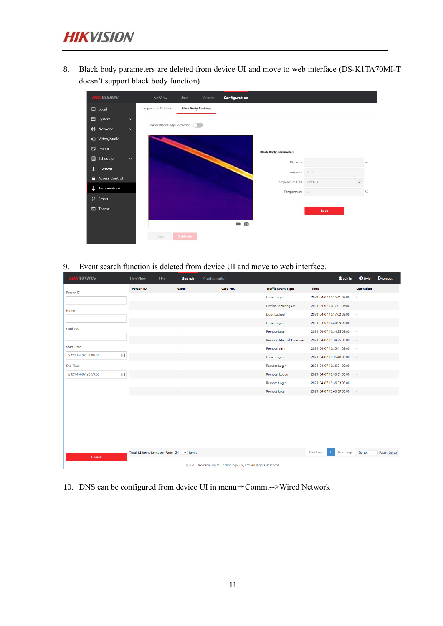8. Black body parameters are deleted from device UI and move to web interface (DS-K1TA70MI-T doesn't support black body function)



9. Event search function is deleted from device UI and move to web interface.

| <b>HIKVISION</b>         | <b>Live View</b>                         | User | <b>Search</b>  | Configuration |                                                                   |                                                     |                           | <b>2</b> admin | $0$ Help     | $\mathsf{P}$ Logout |
|--------------------------|------------------------------------------|------|----------------|---------------|-------------------------------------------------------------------|-----------------------------------------------------|---------------------------|----------------|--------------|---------------------|
| Person ID                | Person ID                                |      | Name           | Card No.      |                                                                   | <b>Traffic Event Type</b>                           | Time                      |                | Operation    |                     |
|                          |                                          |      | ä,             |               |                                                                   | Local: Login                                        | 2021-04-07 10:15:41 08:00 |                | $\mathbf{r}$ |                     |
|                          |                                          |      | $\overline{a}$ |               |                                                                   | Device Powering On                                  | 2021-04-07 10:17:01 08:00 |                | $\sim$       |                     |
| Name                     |                                          |      | i,             |               |                                                                   | Door Locked                                         | 2021-04-07 10:17:02 08:00 |                | ×            |                     |
|                          |                                          |      |                |               |                                                                   | Local: Login                                        | 2021-04-07 10:30:09 08:00 |                | $\sim$       |                     |
| Card No.                 |                                          |      | $\overline{a}$ |               |                                                                   | Remote Login                                        | 2021-04-07 10:34:25 08:00 |                | ۰.           |                     |
|                          |                                          |      |                |               |                                                                   | Remote: Manual Time Sync  2021-04-07 10:34:25 08:00 |                           |                | $\epsilon$   |                     |
| <b>Start Time</b>        |                                          |      |                |               |                                                                   | Remote: Arm                                         | 2021-04-07 10:35:41 08:00 |                | $\sim$       |                     |
| 圖<br>2021-04-07 00:00:00 |                                          |      | ٠              |               |                                                                   | Local: Login                                        | 2021-04-07 10:35:48 08:00 |                | $\mathbf{r}$ |                     |
| <b>End Time</b>          |                                          |      | ä,             |               |                                                                   | Remote Login                                        | 2021-04-07 10:36:31 08:00 |                | ×            |                     |
| 圖<br>2021-04-07 23:59:59 |                                          |      |                |               |                                                                   | Remote: Logout                                      | 2021-04-07 10:36:31 08:00 |                | $\sim$       |                     |
|                          |                                          |      | ł,             |               |                                                                   | Remote Login                                        | 2021-04-07 10:36:33 08:00 |                | ×            |                     |
|                          |                                          |      | ٠              |               |                                                                   | Remote Login                                        | 2021-04-07 13:46:39 08:00 |                | $\sim$       |                     |
|                          |                                          |      |                |               |                                                                   |                                                     |                           |                |              |                     |
|                          |                                          |      |                |               |                                                                   |                                                     |                           |                |              |                     |
|                          |                                          |      |                |               |                                                                   |                                                     |                           |                |              |                     |
|                          |                                          |      |                |               |                                                                   |                                                     |                           |                |              |                     |
|                          | Total 12 Items Items per Page 24 v Items |      |                |               |                                                                   |                                                     | Prev Page                 | Next Page      | Go to        | Page Go to          |
| Search                   |                                          |      |                |               | @2021 Hikvision Digital Technology Co., Ltd. All Rights Reserved. |                                                     |                           |                |              |                     |

10. DNS can be configured from device UI in menu→Comm.-->Wired Network